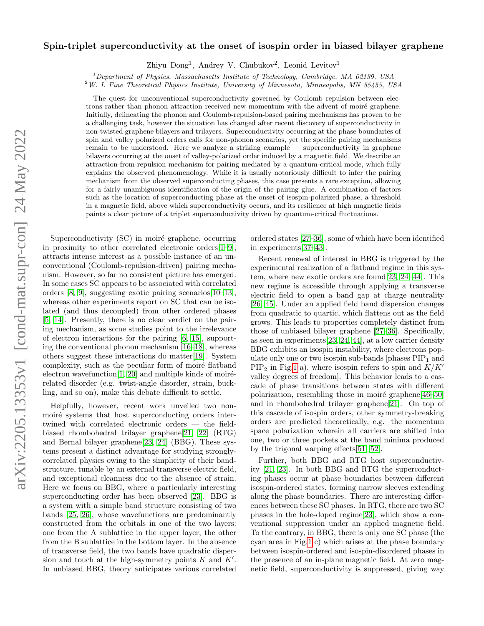# $arXiv:2205.13353v1$  [cond-mat.supr-con] 24 May 2022 arXiv:2205.13353v1 [cond-mat.supr-con] 24 May 2022

# Spin-triplet superconductivity at the onset of isospin order in biased bilayer graphene

Zhiyu Dong<sup>1</sup>, Andrey V. Chubukov<sup>2</sup>, Leonid Levitov<sup>1</sup>

 $1$ Department of Physics, Massachusetts Institute of Technology, Cambridge, MA 02139, USA

 $2$ W. I. Fine Theoretical Physics Institute, University of Minnesota, Minneapolis, MN 55455, USA

The quest for unconventional superconductivity governed by Coulomb repulsion between electrons rather than phonon attraction received new momentum with the advent of moiré graphene. Initially, delineating the phonon and Coulomb-repulsion-based pairing mechanisms has proven to be a challenging task, however the situation has changed after recent discovery of superconductivity in non-twisted graphene bilayers and trilayers. Superconductivity occurring at the phase boundaries of spin and valley polarized orders calls for non-phonon scenarios, yet the specific pairing mechanisms remain to be understood. Here we analyze a striking example — superconductivity in graphene bilayers occurring at the onset of valley-polarized order induced by a magnetic field. We describe an attraction-from-repulsion mechanism for pairing mediated by a quantum-critical mode, which fully explains the observed phenomenology. While it is usually notoriously difficult to infer the pairing mechanism from the observed superconducting phases, this case presents a rare exception, allowing for a fairly unambiguous identification of the origin of the pairing glue. A combination of factors such as the location of superconducting phase at the onset of isospin-polarized phase, a threshold in a magnetic field, above which superconductivity occurs, and its resilience at high magnetic fields paints a clear picture of a triplet superconductivity driven by quantum-critical fluctuations.

Superconductivity (SC) in moiré graphene, occurring in proximity to other correlated electronic orders[\[1–](#page-5-0)[9\]](#page-6-0), attracts intense interest as a possible instance of an unconventional (Coulomb-repulsion-driven) pairing mechanism. However, so far no consistent picture has emerged. In some cases SC appears to be associated with correlated orders [\[8,](#page-5-1) [9\]](#page-6-0), suggesting exotic pairing scenarios[\[10–](#page-6-1)[13\]](#page-6-2), whereas other experiments report on SC that can be isolated (and thus decoupled) from other ordered phases [\[5,](#page-5-2) [14\]](#page-6-3). Presently, there is no clear verdict on the pairing mechanism, as some studies point to the irrelevance of electron interactions for the pairing [\[6,](#page-5-3) [15\]](#page-6-4), supporting the conventional phonon mechanism [\[16](#page-6-5)[–18\]](#page-6-6), whereas others suggest these interactions do matter[\[19\]](#page-6-7). System complexity, such as the peculiar form of moiré flatband electron wavefunction $[1, 20]$  $[1, 20]$  and multiple kinds of moirérelated disorder (e.g. twist-angle disorder, strain, buckling, and so on), make this debate difficult to settle.

Helpfully, however, recent work unveiled two nonmoiré systems that host superconducting orders intertwined with correlated electronic orders — the fieldbiased rhombohedral trilayer graphene[\[21,](#page-6-9) [22\]](#page-6-10) (RTG) and Bernal bilayer graphene[\[23,](#page-6-11) [24\]](#page-6-12) (BBG). These systems present a distinct advantage for studying stronglycorrelated physics owing to the simplicity of their bandstructure, tunable by an external transverse electric field, and exceptional cleanness due to the absence of strain. Here we focus on BBG, where a particularly interesting superconducting order has been observed [\[23\]](#page-6-11). BBG is a system with a simple band structure consisting of two bands [\[25,](#page-6-13) [26\]](#page-6-14), whose wavefunctions are predominantly constructed from the orbitals in one of the two layers: one from the A sublattice in the upper layer, the other from the B sublattice in the bottom layer. In the absence of transverse field, the two bands have quadratic dispersion and touch at the high-symmetry points  $K$  and  $K'$ . In unbiased BBG, theory anticipates various correlated

ordered states [\[27](#page-6-15)[–36\]](#page-6-16), some of which have been identified in experiments[\[37–](#page-6-17)[43\]](#page-6-18).

Recent renewal of interest in BBG is triggered by the experimental realization of a flatband regime in this system, where new exotic orders are found[\[23,](#page-6-11) [24,](#page-6-12) [44\]](#page-6-19). This new regime is accessible through applying a transverse electric field to open a band gap at charge neutrality [\[26,](#page-6-14) [45\]](#page-6-20). Under an applied field band dispersion changes from quadratic to quartic, which flattens out as the field grows. This leads to properties completely distinct from those of unbiased bilayer graphene [\[27](#page-6-15)[–36\]](#page-6-16). Specifically, as seen in experiments[\[23,](#page-6-11) [24,](#page-6-12) [44\]](#page-6-19), at a low carrier density BBG exhibits an isospin instability, where electrons populate only one or two isospin sub-bands [phases  $\text{PIP}_1$  and  $\text{PIP}_2$  in Fig[.1](#page-1-0) a), where isospin refers to spin and  $K/K'$ valley degrees of freedom]. This behavior leads to a cascade of phase transitions between states with different polarization, resembling those in moiré graphene $[46-50]$  $[46-50]$ and in rhombohedral trilayer graphene[\[21\]](#page-6-9). On top of this cascade of isospin orders, other symmetry-breaking orders are predicted theoretically, e.g. the momentum space polarization wherein all carriers are shifted into one, two or three pockets at the band minima produced by the trigonal warping effects[\[51,](#page-7-1) [52\]](#page-7-2).

Further, both BBG and RTG host superconductivity [\[21,](#page-6-9) [23\]](#page-6-11). In both BBG and RTG the superconducting phases occur at phase boundaries between different isospin-ordered states, forming narrow sleeves extending along the phase boundaries. There are interesting differences between these SC phases. In RTG, there are two SC phases in the hole-doped regime[\[23\]](#page-6-11), which show a conventional suppression under an applied magnetic field. To the contrary, in BBG, there is only one SC phase (the cyan area in Fig[.1](#page-1-0) c) which arises at the phase boundary between isospin-ordered and isospin-disordered phases in the presence of an in-plane magnetic field. At zero magnetic field, superconductivity is suppressed, giving way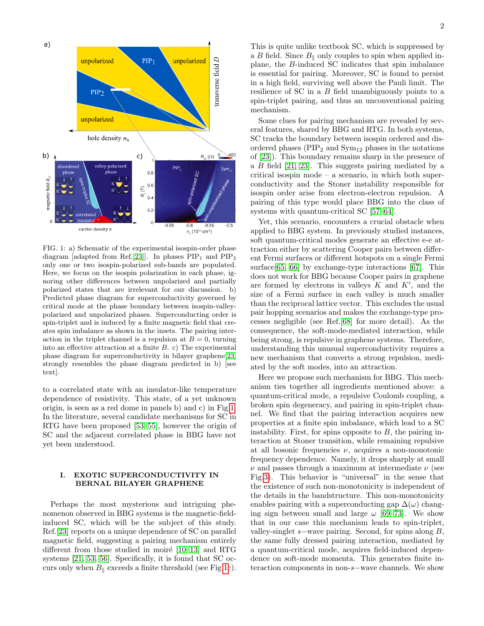

<span id="page-1-0"></span>FIG. 1: a) Schematic of the experimental isospin-order phase diagram [adapted from Ref.[\[23\]](#page-6-11)]. In phases  $\text{PIP}_1$  and  $\text{PIP}_2$ only one or two isospin-polarized sub-bands are populated. Here, we focus on the isospin polarization in each phase, ignoring other differences between unpolarized and partially polarized states that are irrelevant for our discussion. b) Predicted phase diagram for superconductivity governed by critical mode at the phase boundary between isospin-valleypolarized and unpolarized phases. Superconducting order is spin-triplet and is induced by a finite magnetic field that creates spin imbalance as shown in the insets. The pairing interaction in the triplet channel is a repulsion at  $B = 0$ , turning into an effective attraction at a finite  $B$ . c) The experimental phase diagram for superconductivity in bilayer graphene[\[23\]](#page-6-11) strongly resembles the phase diagram predicted in b) [see text].

to a correlated state with an insulator-like temperature dependence of resistivity. This state, of a yet unknown origin, is seen as a red dome in panels b) and c) in Fig[.1.](#page-1-0) In the literature, several candidate mechanisms for SC in RTG have been proposed [\[53–](#page-7-3)[55\]](#page-7-4), however the origin of SC and the adjacent correlated phase in BBG have not yet been understood.

# I. EXOTIC SUPERCONDUCTIVITY IN BERNAL BILAYER GRAPHENE

Perhaps the most mysterious and intriguing phenomenon observed in BBG systems is the magnetic-fieldinduced SC, which will be the subject of this study. Ref.[\[23\]](#page-6-11) reports on a unique dependence of SC on parallel magnetic field, suggesting a pairing mechanism entirely different from those studied in moiré  $[10-13]$  and RTG systems [\[21,](#page-6-9) [53,](#page-7-3) [56\]](#page-7-5). Specifically, it is found that SC occurs only when  $B_{\parallel}$  exceeds a finite threshold (see Fig[.1c](#page-1-0)).

This is quite unlike textbook SC, which is suppressed by a B field. Since  $B_{\parallel}$  only couples to spin when applied inplane, the B-induced SC indicates that spin imbalance is essential for pairing. Moreover, SC is found to persist in a high field, surviving well above the Pauli limit. The resilience of SC in a B field unambiguously points to a spin-triplet pairing, and thus an unconventional pairing mechanism.

Some clues for pairing mechanism are revealed by several features, shared by BBG and RTG. In both systems, SC tracks the boundary between isospin ordered and disordered phases ( $\text{PIP}_2$  and  $\text{Sym}_{12}$  phases in the notations of [\[23\]](#page-6-11)). This boundary remains sharp in the presence of a B field [\[21,](#page-6-9) [23\]](#page-6-11). This suggests pairing mediated by a critical isospin mode – a scenario, in which both superconductivity and the Stoner instability responsible for isospin order arise from electron-electron repulsion. A pairing of this type would place BBG into the class of systems with quantum-critical SC [\[57–](#page-7-6)[64\]](#page-7-7).

Yet, this scenario, encounters a crucial obstacle when applied to BBG system. In previously studied instances, soft quantum-critical modes generate an effective e-e attraction either by scattering Cooper pairs between different Fermi surfaces or different hotspots on a single Fermi surface[\[65,](#page-7-8) [66\]](#page-7-9) by exchange-type interactions [\[67\]](#page-7-10). This does not work for BBG because Cooper pairs in graphene are formed by electrons in valleys  $K$  and  $K'$ , and the size of a Fermi surface in each valley is much smaller than the reciprocal lattice vector. This excludes the usual pair hopping scenarios and makes the exchange-type processes negligible (see Ref.[\[68\]](#page-7-11) for more detail). As the consequence, the soft-mode-mediated interaction, while being strong, is repulsive in graphene systems. Therefore, understanding this unusual superconductivity requires a new mechanism that converts a strong repulsion, mediated by the soft modes, into an attraction.

Here we propose such mechanism for BBG. This mechanism ties together all ingredients mentioned above: a quantum-critical mode, a repulsive Coulomb coupling, a broken spin degeneracy, and pairing in spin-triplet channel. We find that the pairing interaction acquires new properties at a finite spin imbalance, which lead to a SC instability. First, for spins opposite to  $B$ , the pairing interaction at Stoner transition, while remaining repulsive at all bosonic frequencies  $\nu$ , acquires a non-monotonic frequency dependence. Namely, it drops sharply at small  $\nu$  and passes through a maximum at intermediate  $\nu$  (see Fig[.3\)](#page-3-0). This behavior is "universal" in the sense that the existence of such non-monotonicity is independent of the details in the bandstructure. This non-monotonicity enables pairing with a superconducting gap  $\Delta(\omega)$  changing sign between small and large  $\omega$  [\[69–](#page-7-12)[73\]](#page-7-13). We show that in our case this mechanism leads to spin-triplet, valley-singlet s−wave pairing. Second, for spins along  $B$ , the same fully dressed pairing interaction, mediated by a quantum-critical mode, acquires field-induced dependence on soft-mode momenta. This generates finite interaction components in non-s−wave channels. We show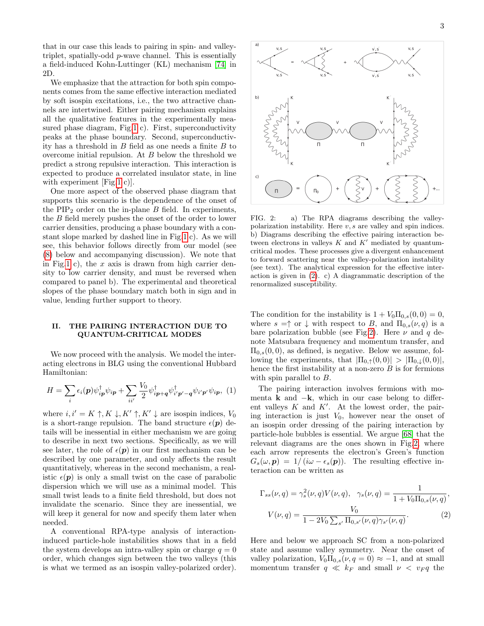that in our case this leads to pairing in spin- and valleytriplet, spatially-odd p-wave channel. This is essentially a field-induced Kohn-Luttinger (KL) mechanism [\[74\]](#page-7-14) in 2D.

We emphasize that the attraction for both spin components comes from the same effective interaction mediated by soft isospin excitations, i.e., the two attractive channels are intertwined. Either pairing mechanism explains all the qualitative features in the experimentally measured phase diagram, Fig[.1](#page-1-0) c). First, superconductivity peaks at the phase boundary. Second, superconductivity has a threshold in  $B$  field as one needs a finite  $B$  to overcome initial repulsion. At B below the threshold we predict a strong repulsive interaction. This interaction is expected to produce a correlated insulator state, in line with experiment [Fig[.1](#page-1-0) c)].

One more aspect of the observed phase diagram that supports this scenario is the dependence of the onset of the  $\text{PIP}_2$  order on the in-plane B field. In experiments, the B field merely pushes the onset of the order to lower carrier densities, producing a phase boundary with a constant slope marked by dashed line in Fig[.1](#page-1-0) c). As we will see, this behavior follows directly from our model (see [\(8\)](#page-5-4) below and accompanying discussion). We note that in Fig[.1](#page-1-0) c), the  $x$  axis is drawn from high carrier density to low carrier density, and must be reversed when compared to panel b). The experimental and theoretical slopes of the phase boundary match both in sign and in value, lending further support to theory.

# II. THE PAIRING INTERACTION DUE TO QUANTUM-CRITICAL MODES

We now proceed with the analysis. We model the interacting electrons in BLG using the conventional Hubbard Hamiltonian:

$$
H = \sum_{i} \epsilon_i(\mathbf{p}) \psi_{i\mathbf{p}}^{\dagger} \psi_{i\mathbf{p}} + \sum_{ii'} \frac{V_0}{2} \psi_{i\mathbf{p}+\mathbf{q}}^{\dagger} \psi_{i'\mathbf{p'}-\mathbf{q}}^{\dagger} \psi_{i'\mathbf{p'}} \psi_{i\mathbf{p}}, \tag{1}
$$

where  $i, i' = K \uparrow, K \downarrow, K' \uparrow, K' \downarrow$  are isospin indices,  $V_0$ is a short-range repulsion. The band structure  $\epsilon(\mathbf{p})$  details will be inessential in either mechanism we are going to describe in next two sections. Specifically, as we will see later, the role of  $\epsilon(\mathbf{p})$  in our first mechanism can be described by one parameter, and only affects the result quantitatively, whereas in the second mechanism, a realistic  $\epsilon(\mathbf{p})$  is only a small twist on the case of parabolic dispersion which we will use as a minimal model. This small twist leads to a finite field threshold, but does not invalidate the scenario. Since they are inessential, we will keep it general for now and specify them later when needed.

A conventional RPA-type analysis of interactioninduced particle-hole instabilities shows that in a field the system develops an intra-valley spin or charge  $q = 0$ order, which changes sign between the two valleys (this is what we termed as an isospin valley-polarized order).



<span id="page-2-1"></span>FIG. 2: a) The RPA diagrams describing the valleypolarization instability. Here  $v, s$  are valley and spin indices. b) Diagrams describing the effective pairing interaction between electrons in valleys  $K$  and  $K'$  mediated by quantumcritical modes. These processes give a divergent enhancement to forward scattering near the valley-polarization instability (see text). The analytical expression for the effective interaction is given in [\(2\)](#page-2-0). c) A diagrammatic description of the renormalized susceptibility.

The condition for the instability is  $1 + V_0 \Pi_{0,s}(0,0) = 0$ , where  $s = \uparrow$  or  $\downarrow$  with respect to B, and  $\Pi_{0,s}(\nu, q)$  is a bare polarization bubble (see Fig[.2\)](#page-2-1). Here  $\nu$  and q denote Matsubara frequency and momentum transfer, and  $\Pi_{0,s}(0,0)$ , as defined, is negative. Below we assume, following the experiments, that  $|\Pi_{0,\uparrow}(0,0)| > |\Pi_{0,\downarrow}(0,0)|$ , hence the first instability at a non-zero  $B$  is for fermions with spin parallel to  $B$ .

The pairing interaction involves fermions with momenta **k** and  $-k$ , which in our case belong to different valleys  $K$  and  $K'$ . At the lowest order, the pairing interaction is just  $V_0$ , however near the onset of an isospin order dressing of the pairing interaction by particle-hole bubbles is essential. We argue [\[68\]](#page-7-11) that the relevant diagrams are the ones shown in Fig[.2,](#page-2-1) where each arrow represents the electron's Green's function  $G_s(\omega, \mathbf{p}) = 1/(i\omega - \epsilon_s(\mathbf{p}))$ . The resulting effective interaction can be written as

<span id="page-2-0"></span>
$$
\Gamma_{ss}(\nu, q) = \gamma_s^2(\nu, q)V(\nu, q), \quad \gamma_s(\nu, q) = \frac{1}{1 + V_0 \Pi_{0,s}(\nu, q)},
$$

$$
V(\nu, q) = \frac{V_0}{1 - 2V_0 \sum_{s'} \Pi_{0,s'}(\nu, q)\gamma_{s'}(\nu, q)}.
$$
(2)

Here and below we approach SC from a non-polarized state and assume valley symmetry. Near the onset of valley polarization,  $V_0 \Pi_{0,s}(\nu, q = 0) \approx -1$ , and at small momentum transfer  $q \ll k_F$  and small  $\nu \ll v_F q$  the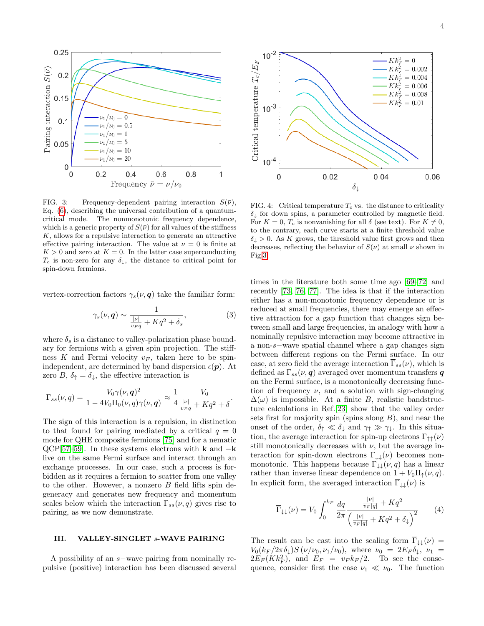

<span id="page-3-0"></span>FIG. 3: Frequency-dependent pairing interaction  $S(\bar{\nu})$ , Eq. [\(6\)](#page-4-0), describing the universal contribution of a quantumcritical mode. The nonmonotonic frequency dependence, which is a generic property of  $S(\bar{\nu})$  for all values of the stiffness  $K$ , allows for a repulsive interaction to generate an attractive effective pairing interaction. The value at  $\nu = 0$  is finite at  $K > 0$  and zero at  $K = 0$ . In the latter case superconducting  $T_c$  is non-zero for any  $\delta_{\downarrow}$ , the distance to critical point for spin-down fermions.

vertex-correction factors  $\gamma_s(\nu, \mathbf{q})$  take the familiar form:

$$
\gamma_s(\nu, \mathbf{q}) \sim \frac{1}{\frac{|\nu|}{v_F q} + Kq^2 + \delta_s},\tag{3}
$$

where  $\delta_s$  is a distance to valley-polarization phase boundary for fermions with a given spin projection. The stiffness K and Fermi velocity  $v_F$ , taken here to be spinindependent, are determined by band dispersion  $\epsilon(\mathbf{p})$ . At zero B,  $\delta_{\uparrow} = \delta_{\downarrow}$ , the effective interaction is

$$
\Gamma_{ss}(\nu,q) = \frac{V_0 \gamma(\nu,q)^2}{1 - 4V_0 \Pi_0(\nu,q) \gamma(\nu,q)} \approx \frac{1}{4} \frac{V_0}{\frac{|\nu|}{v_F q} + Kq^2 + \delta}.
$$

The sign of this interaction is a repulsion, in distinction to that found for pairing mediated by a critical  $q = 0$ mode for QHE composite fermions [\[75\]](#page-7-15) and for a nematic  $QCP$ [\[57](#page-7-6)[–59\]](#page-7-16). In these systems electrons with **k** and  $-\mathbf{k}$ live on the same Fermi surface and interact through an exchange processes. In our case, such a process is forbidden as it requires a fermion to scatter from one valley to the other. However, a nonzero B field lifts spin degeneracy and generates new frequency and momentum scales below which the interaction  $\Gamma_{ss}(\nu, q)$  gives rise to pairing, as we now demonstrate.

### III. VALLEY-SINGLET s-WAVE PAIRING

A possibility of an s−wave pairing from nominally repulsive (positive) interaction has been discussed several



<span id="page-3-1"></span>FIG. 4: Critical temperature  $T_c$  vs. the distance to criticality  $\delta_{\perp}$  for down spins, a parameter controlled by magnetic field. For  $K = 0$ ,  $T_c$  is nonvanishing for all  $\delta$  (see text). For  $K \neq 0$ , to the contrary, each curve starts at a finite threshold value  $\delta_{\downarrow} > 0$ . As K grows, the threshold value first grows and then decreases, reflecting the behavior of  $S(\nu)$  at small  $\nu$  shown in Fig[.3.](#page-3-0)

times in the literature both some time ago [\[69](#page-7-12)[–72\]](#page-7-17) and recently [\[73,](#page-7-13) [76,](#page-7-18) [77\]](#page-7-19). The idea is that if the interaction either has a non-monotonic frequency dependence or is reduced at small frequencies, there may emerge an effective attraction for a gap function that changes sign between small and large frequencies, in analogy with how a nominally repulsive interaction may become attractive in a non-s−wave spatial channel where a gap changes sign between different regions on the Fermi surface. In our case, at zero field the average interaction  $\Gamma_{ss}(\nu)$ , which is defined as  $\Gamma_{ss}(\nu, \mathbf{q})$  averaged over momentum transfers  $\mathbf{q}$ on the Fermi surface, is a monotonically decreasing function of frequency  $\nu$ , and a solution with sign-changing  $\Delta(\omega)$  is impossible. At a finite B, realistic bandstructure calculations in Ref.[\[23\]](#page-6-11) show that the valley order sets first for majority spin (spins along  $B$ ), and near the onset of the order,  $\delta_{\uparrow} \ll \delta_{\downarrow}$  and  $\gamma_{\uparrow} \gg \gamma_{\downarrow}$ . In this situation, the average interaction for spin-up electrons  $\overline{\Gamma}_{\uparrow\uparrow}(\nu)$ still monotonically decreases with  $\nu$ , but the average interaction for spin-down electrons  $\overline{\Gamma}_{\downarrow\downarrow}(\nu)$  becomes nonmonotonic. This happens because  $\Gamma_{\downarrow\downarrow}(\nu, q)$  has a linear rather than inverse linear dependence on  $1 + V_0 \Pi_{\uparrow}(\nu, q)$ . In explicit form, the averaged interaction  $\overline{\Gamma}_{\downarrow\downarrow}(\nu)$  is

$$
\overline{\Gamma}_{\downarrow\downarrow}(\nu) = V_0 \int_0^{k_F} \frac{dq}{2\pi} \frac{\frac{|\nu|}{v_F|q|} + Kq^2}{\left(\frac{|\nu|}{v_F|q|} + Kq^2 + \delta_{\downarrow}\right)^2} \tag{4}
$$

The result can be cast into the scaling form  $\overline{\Gamma}_{\downarrow\downarrow}(\nu)$  =  $V_0(k_F/2\pi\delta_\downarrow)S(\nu/\nu_0,\nu_1/\nu_0)$ , where  $\nu_0 = 2E_F\delta_\downarrow$ ,  $\nu_1 =$  $2E_F(Kk_F^2)$ , and  $E_F = v_F k_F/2$ . To see the consequence, consider first the case  $\nu_1 \ll \nu_0$ . The function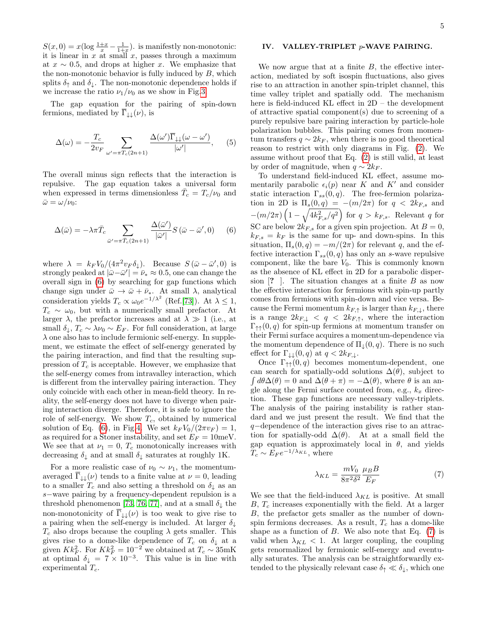$S(x, 0) = x(\log \frac{1+x}{x} - \frac{1}{1+x})$ . is manifestly non-monotonic: it is linear in  $x$  at small  $x$ , passes through a maximum at  $x \sim 0.5$ , and drops at higher x. We emphasize that the non-monotonic behavior is fully induced by  $B$ , which splits  $\delta_{\uparrow}$  and  $\delta_{\downarrow}$ . The non-monotonic dependence holds if we increase the ratio  $\nu_1/\nu_0$  as we show in Fig[.3.](#page-3-0)

The gap equation for the pairing of spin-down fermions, mediated by  $\overline{\Gamma}_{\downarrow\downarrow}(\nu)$ , is

$$
\Delta(\omega) = -\frac{T_c}{2v_F} \sum_{\omega' = \pi T_c(2n+1)} \frac{\Delta(\omega')\overline{\Gamma}_{\downarrow\downarrow}(\omega - \omega')}{|\omega'|}, \quad (5)
$$

The overall minus sign reflects that the interaction is repulsive. The gap equation takes a universal form when expressed in terms dimensionless  $\bar{T}_c = T_c/\nu_0$  and  $\bar{\omega} = \omega/\nu_0$ :

<span id="page-4-0"></span>
$$
\Delta(\bar{\omega}) = -\lambda \pi \bar{T}_c \sum_{\bar{\omega}' = \pi \bar{T}_c(2n+1)} \frac{\Delta(\bar{\omega}')}{|\bar{\omega}'|} S(\bar{\omega} - \bar{\omega}', 0) \qquad (6)
$$

where  $\lambda = k_F V_0/(4\pi^2 v_F \delta_\downarrow)$ . Because  $S(\bar{\omega} - \bar{\omega}', 0)$  is strongly peaked at  $|\bar{\omega}-\bar{\omega}'| = \bar{\nu}_* \approx 0.5$ , one can change the overall sign in [\(6\)](#page-4-0) by searching for gap functions which change sign under  $\bar{\omega} \to \bar{\omega} + \bar{\nu}_*$ . At small  $\lambda$ , analytical consideration yields  $T_c \propto \omega_0 e^{-1/\lambda^2}$  (Ref.[\[73\]](#page-7-13)). At  $\lambda \leq 1$ ,  $T_c \sim \omega_0$ , but with a numerically small prefactor. At larger  $\lambda$ , the prefactor increases and at  $\lambda \gg 1$  (i.e., at small  $\delta_{\downarrow}, T_c \sim \lambda \nu_0 \sim E_F$ . For full consideration, at large  $\lambda$  one also has to include fermionic self-energy. In supplement, we estimate the effect of self-energy generated by the pairing interaction, and find that the resulting suppression of  $T_c$  is acceptable. However, we emphasize that the self-energy comes from intravalley interaction, which is different from the intervalley pairing interaction. They only coincide with each other in mean-field theory. In reality, the self-energy does not have to diverge when pairing interaction diverge. Therefore, it is safe to ignore the role of self-energy. We show  $T_c$ , obtained by numerical solution of Eq. [\(6\)](#page-4-0), in Fig[.4.](#page-3-1) We set  $k_F V_0/(2\pi v_F) = 1$ , as required for a Stoner instability, and set  $E_F = 10$ meV. We see that at  $\nu_1 = 0$ ,  $T_c$  monotonically increases with decreasing  $\delta_{\downarrow}$  and at small  $\delta_{\downarrow}$  saturates at roughly 1K.

For a more realistic case of  $\nu_0 \sim \nu_1$ , the momentumaveraged  $\Gamma_{\downarrow\downarrow}(\nu)$  tends to a finite value at  $\nu = 0$ , leading to a smaller  $T_c$  and also setting a threshold on  $\delta_{\downarrow}$  as an s−wave pairing by a frequency-dependent repulsion is a threshold phenomenon [\[73,](#page-7-13) [76,](#page-7-18) [77\]](#page-7-19), and at a small  $\delta_{\downarrow}$  the non-monotonicity of  $\overline{\Gamma}_{\text{L}}(\nu)$  is too weak to give rise to a pairing when the self-energy is included. At larger  $\delta_{\downarrow}$  $T_c$  also drops because the coupling  $\lambda$  gets smaller. This gives rise to a dome-like dependence of  $T_c$  on  $\delta_{\downarrow}$  at a given  $Kk_F^2$ . For  $Kk_F^2 = 10^{-2}$  we obtained at  $T_c \sim 35 \text{mK}$ at optimal  $\delta_{\downarrow} = 7 \times 10^{-3}$ . This value is in line with experimental  $T_c$ .

# IV. VALLEY-TRIPLET p-WAVE PAIRING.

We now argue that at a finite  $B$ , the effective interaction, mediated by soft isospin fluctuations, also gives rise to an attraction in another spin-triplet channel, this time valley triplet and spatially odd. The mechanism here is field-induced KL effect in 2D – the development of attractive spatial component(s) due to screening of a purely repulsive bare pairing interaction by particle-hole polarization bubbles. This pairing comes from momentum transfers  $q \sim 2k_F$ , when there is no good theoretical reason to restrict with only diagrams in Fig. [\(2\)](#page-2-1). We assume without proof that Eq. [\(2\)](#page-2-0) is still valid, at least by order of magnitude, when  $q \sim 2k_F$ .

To understand field-induced KL effect, assume momentarily parabolic  $\epsilon_i(p)$  near K and K' and consider static interaction  $\Gamma_{ss}(0, q)$ . The free-fermion polarization in 2D is  $\Pi_s(0,q) = -(m/2\pi)$  for  $q < 2k_{F,s}$  and  $-(m/2\pi)\left(1-\sqrt{4k_{F,s}^2/q^2}\right)$  for  $q > k_{F,s}$ . Relevant q for SC are below  $2k_{F,s}$  for a given spin projection. At  $B=0$ ,  $k_{F,s} = k_F$  is the same for up- and down-spins. In this situation,  $\Pi_s(0,q) = -m/(2\pi)$  for relevant q, and the effective interaction  $\Gamma_{ss}(0, q)$  has only an s-wave repulsive component, like the bare  $V_0$ . This is commonly known as the absence of KL effect in 2D for a parabolic dispersion  $[? \]$ . The situation changes at a finite B as now the effective interaction for fermions with spin-up partly comes from fermions with spin-down and vice versa. Because the Fermi momentum  $k_{F,\uparrow}$  is larger than  $k_{F,\downarrow}$ , there is a range  $2k_{F,\downarrow} < q < 2k_{F,\uparrow}$ , where the interaction  $\Gamma_{\uparrow\uparrow}(0,q)$  for spin-up fermions at momentum transfer on their Fermi surface acquires a momentum-dependence via the momentum dependence of  $\Pi_{\downarrow}(0, q)$ . There is no such effect for  $\Gamma_{\downarrow\downarrow}(0,q)$  at  $q < 2k_{F,\downarrow}$ .

Once  $\Gamma_{\uparrow\uparrow}(0,q)$  becomes momentum-dependent, one can search for spatially-odd solutions  $\Delta(\theta)$ , subject to  $\int d\theta \Delta(\theta) = 0$  and  $\Delta(\theta + \pi) = -\Delta(\theta)$ , where  $\theta$  is an angle along the Fermi surface counted from, e.g.,  $k_x$  direction. These gap functions are necessary valley-triplets. The analysis of the pairing instability is rather standard and we just present the result. We find that the q−dependence of the interaction gives rise to an attraction for spatially-odd  $\Delta(\theta)$ . At at a small field the gap equation is approximately local in  $\theta$ , and yields  $T_c \sim E_F e^{-1/\lambda_{KL}}$ , where

<span id="page-4-1"></span>
$$
\lambda_{KL} = \frac{mV_0}{8\pi^2 \delta^2} \frac{\mu_B B}{E_F} \tag{7}
$$

We see that the field-induced  $\lambda_{KL}$  is positive. At small  $B, T_c$  increases exponentially with the field. At a larger B, the prefactor gets smaller as the number of downspin fermions decreases. As a result,  $T_c$  has a dome-like shape as a function of  $B$ . We also note that Eq. [\(7\)](#page-4-1) is valid when  $\lambda_{KL}$  < 1. At larger coupling, the coupling gets renormalized by fermionic self-energy and eventually saturates. The analysis can be straightforwardly extended to the physically relevant case  $\delta_{\uparrow} \ll \delta_{\downarrow}$ , which one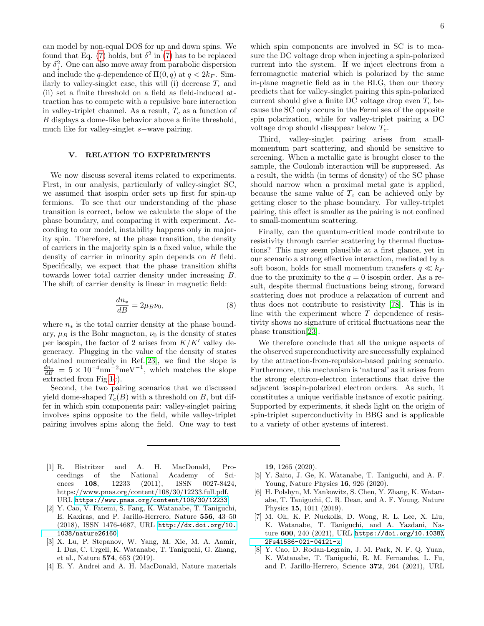can model by non-equal DOS for up and down spins. We found that Eq. [\(7\)](#page-4-1) holds, but  $\delta^2$  in (7) has to be replaced by  $\delta^2_{\downarrow}$ . One can also move away from parabolic dispersion and include the q-dependence of  $\Pi(0, q)$  at  $q < 2k_F$ . Similarly to valley-singlet case, this will (i) decrease  $T_c$  and (ii) set a finite threshold on a field as field-induced attraction has to compete with a repulsive bare interaction in valley-triplet channel. As a result,  $T_c$  as a function of B displays a dome-like behavior above a finite threshold, much like for valley-singlet s−wave pairing.

# V. RELATION TO EXPERIMENTS

We now discuss several items related to experiments. First, in our analysis, particularly of valley-singlet SC, we assumed that isospin order sets up first for spin-up fermions. To see that our understanding of the phase transition is correct, below we calculate the slope of the phase boundary, and comparing it with experiment. According to our model, instability happens only in majority spin. Therefore, at the phase transition, the density of carriers in the majority spin is a fixed value, while the density of carrier in minority spin depends on B field. Specifically, we expect that the phase transition shifts towards lower total carrier density under increasing B. The shift of carrier density is linear in magnetic field:

<span id="page-5-4"></span>
$$
\frac{dn_*}{dB} = 2\mu_B \nu_0,\tag{8}
$$

where  $n_*$  is the total carrier density at the phase boundary,  $\mu_B$  is the Bohr magneton,  $\nu_0$  is the density of states per isospin, the factor of 2 arises from  $K/K'$  valley degeneracy. Plugging in the value of the density of states obtained numerically in Ref.[\[23\]](#page-6-11), we find the slope is  $\frac{dn_*}{dB} = 5 \times 10^{-4}$  nm<sup>-2</sup>meV<sup>-1</sup>, which matches the slope extracted from Fig[.1c](#page-1-0)).

Second, the two pairing scenarios that we discussed yield dome-shaped  $T_c(B)$  with a threshold on B, but differ in which spin components pair: valley-singlet pairing involves spins opposite to the field, while valley-triplet pairing involves spins along the field. One way to test

which spin components are involved in SC is to measure the DC voltage drop when injecting a spin-polarized current into the system. If we inject electrons from a ferromagnetic material which is polarized by the same in-plane magnetic field as in the BLG, then our theory predicts that for valley-singlet pairing this spin-polarized current should give a finite DC voltage drop even  $T_c$  because the SC only occurs in the Fermi sea of the opposite spin polarization, while for valley-triplet pairing a DC voltage drop should disappear below  $T_c$ .

Third, valley-singlet pairing arises from smallmomentum part scattering, and should be sensitive to screening. When a metallic gate is brought closer to the sample, the Coulomb interaction will be suppressed. As a result, the width (in terms of density) of the SC phase should narrow when a proximal metal gate is applied, because the same value of  $T_c$  can be achieved only by getting closer to the phase boundary. For valley-triplet pairing, this effect is smaller as the pairing is not confined to small-momentum scattering.

Finally, can the quantum-critical mode contribute to resistivity through carrier scattering by thermal fluctuations? This may seem plausible at a first glance, yet in our scenario a strong effective interaction, mediated by a soft boson, holds for small momentum transfers  $q \ll k_F$ due to the proximity to the  $q = 0$  isospin order. As a result, despite thermal fluctuations being strong, forward scattering does not produce a relaxation of current and thus does not contribute to resistivity [\[78\]](#page-7-20). This is in line with the experiment where  $T$  dependence of resistivity shows no signature of critical fluctuations near the phase transition[\[23\]](#page-6-11).

We therefore conclude that all the unique aspects of the observed superconductivity are successfully explained by the attraction-from-repulsion-based pairing scenario. Furthermore, this mechanism is 'natural' as it arises from the strong electron-electron interactions that drive the adjacent isospin-polarized electron orders. As such, it constitutes a unique verifiable instance of exotic pairing. Supported by experiments, it sheds light on the origin of spin-triplet superconductivity in BBG and is applicable to a variety of other systems of interest.

- <span id="page-5-0"></span>[1] R. Bistritzer and A. H. MacDonald, Proceedings of the National Academy of Sciences **108**, 12233 (2011), ISSN 0027-8424, https://www.pnas.org/content/108/30/12233.full.pdf, URL <https://www.pnas.org/content/108/30/12233>.
- [2] Y. Cao, V. Fatemi, S. Fang, K. Watanabe, T. Taniguchi, E. Kaxiras, and P. Jarillo-Herrero, Nature 556, 43–50 (2018), ISSN 1476-4687, URL [http://dx.doi.org/10.](http://dx.doi.org/10.1038/nature26160) [1038/nature26160](http://dx.doi.org/10.1038/nature26160).
- [3] X. Lu, P. Stepanov, W. Yang, M. Xie, M. A. Aamir, I. Das, C. Urgell, K. Watanabe, T. Taniguchi, G. Zhang, et al., Nature 574, 653 (2019).
- [4] E. Y. Andrei and A. H. MacDonald, Nature materials

19, 1265 (2020).

- <span id="page-5-2"></span>[5] Y. Saito, J. Ge, K. Watanabe, T. Taniguchi, and A. F. Young, Nature Physics 16, 926 (2020).
- <span id="page-5-3"></span>[6] H. Polshyn, M. Yankowitz, S. Chen, Y. Zhang, K. Watanabe, T. Taniguchi, C. R. Dean, and A. F. Young, Nature Physics 15, 1011 (2019).
- [7] M. Oh, K. P. Nuckolls, D. Wong, R. L. Lee, X. Liu, K. Watanabe, T. Taniguchi, and A. Yazdani, Nature 600, 240 (2021), URL [https://doi.org/10.1038%](https://doi.org/10.1038%2Fs41586-021-04121-x) [2Fs41586-021-04121-x](https://doi.org/10.1038%2Fs41586-021-04121-x).
- <span id="page-5-1"></span>[8] Y. Cao, D. Rodan-Legrain, J. M. Park, N. F. Q. Yuan, K. Watanabe, T. Taniguchi, R. M. Fernandes, L. Fu, and P. Jarillo-Herrero, Science 372, 264 (2021), URL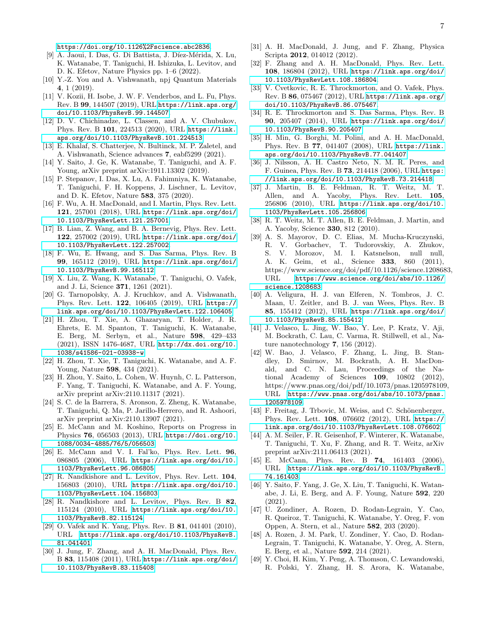<https://doi.org/10.1126%2Fscience.abc2836>.

- <span id="page-6-0"></span>[9] A. Jaoui, I. Das, G. Di Battista, J. Díez-Mérida, X. Lu, K. Watanabe, T. Taniguchi, H. Ishizuka, L. Levitov, and D. K. Efetov, Nature Physics pp. 1–6 (2022).
- <span id="page-6-1"></span>[10] Y.-Z. You and A. Vishwanath, npj Quantum Materials 4, 1 (2019).
- [11] V. Kozii, H. Isobe, J. W. F. Venderbos, and L. Fu, Phys. Rev. B 99, 144507 (2019), URL [https://link.aps.org/](https://link.aps.org/doi/10.1103/PhysRevB.99.144507) [doi/10.1103/PhysRevB.99.144507](https://link.aps.org/doi/10.1103/PhysRevB.99.144507).
- [12] D. V. Chichinadze, L. Classen, and A. V. Chubukov, Phys. Rev. B 101, 224513 (2020), URL [https://link.](https://link.aps.org/doi/10.1103/PhysRevB.101.224513) [aps.org/doi/10.1103/PhysRevB.101.224513](https://link.aps.org/doi/10.1103/PhysRevB.101.224513).
- <span id="page-6-2"></span>[13] E. Khalaf, S. Chatterjee, N. Bultinck, M. P. Zaletel, and A. Vishwanath, Science advances 7, eabf5299 (2021).
- <span id="page-6-3"></span>[14] Y. Saito, J. Ge, K. Watanabe, T. Taniguchi, and A. F. Young, arXiv preprint arXiv:1911.13302 (2019).
- <span id="page-6-4"></span>[15] P. Stepanov, I. Das, X. Lu, A. Fahimniya, K. Watanabe, T. Taniguchi, F. H. Koppens, J. Lischner, L. Levitov, and D. K. Efetov, Nature 583, 375 (2020).
- <span id="page-6-5"></span>[16] F. Wu, A. H. MacDonald, and I. Martin, Phys. Rev. Lett. 121, 257001 (2018), URL [https://link.aps.org/doi/](https://link.aps.org/doi/10.1103/PhysRevLett.121.257001) [10.1103/PhysRevLett.121.257001](https://link.aps.org/doi/10.1103/PhysRevLett.121.257001).
- [17] B. Lian, Z. Wang, and B. A. Bernevig, Phys. Rev. Lett. 122, 257002 (2019), URL [https://link.aps.org/doi/](https://link.aps.org/doi/10.1103/PhysRevLett.122.257002) [10.1103/PhysRevLett.122.257002](https://link.aps.org/doi/10.1103/PhysRevLett.122.257002).
- <span id="page-6-6"></span>[18] F. Wu, E. Hwang, and S. Das Sarma, Phys. Rev. B 99, 165112 (2019), URL [https://link.aps.org/doi/](https://link.aps.org/doi/10.1103/PhysRevB.99.165112) [10.1103/PhysRevB.99.165112](https://link.aps.org/doi/10.1103/PhysRevB.99.165112).
- <span id="page-6-7"></span>[19] X. Liu, Z. Wang, K. Watanabe, T. Taniguchi, O. Vafek, and J. Li, Science 371, 1261 (2021).
- <span id="page-6-8"></span>[20] G. Tarnopolsky, A. J. Kruchkov, and A. Vishwanath, Phys. Rev. Lett. 122, 106405 (2019), URL [https://](https://link.aps.org/doi/10.1103/PhysRevLett.122.106405) [link.aps.org/doi/10.1103/PhysRevLett.122.106405](https://link.aps.org/doi/10.1103/PhysRevLett.122.106405).
- <span id="page-6-9"></span>[21] H. Zhou, T. Xie, A. Ghazaryan, T. Holder, J. R. Ehrets, E. M. Spanton, T. Taniguchi, K. Watanabe, E. Berg, M. Serbyn, et al., Nature 598, 429–433 (2021), ISSN 1476-4687, URL [http://dx.doi.org/10.](http://dx.doi.org/10.1038/s41586-021-03938-w) [1038/s41586-021-03938-w](http://dx.doi.org/10.1038/s41586-021-03938-w).
- <span id="page-6-10"></span>[22] H. Zhou, T. Xie, T. Taniguchi, K. Watanabe, and A. F. Young, Nature 598, 434 (2021).
- <span id="page-6-11"></span>[23] H. Zhou, Y. Saito, L. Cohen, W. Huynh, C. L. Patterson, F. Yang, T. Taniguchi, K. Watanabe, and A. F. Young, arXiv preprint arXiv:2110.11317 (2021).
- <span id="page-6-12"></span>[24] S. C. de la Barrera, S. Aronson, Z. Zheng, K. Watanabe, T. Taniguchi, Q. Ma, P. Jarillo-Herrero, and R. Ashoori, arXiv preprint arXiv:2110.13907 (2021).
- <span id="page-6-13"></span>[25] E. McCann and M. Koshino, Reports on Progress in Physics 76, 056503 (2013), URL [https://doi.org/10.](https://doi.org/10.1088/0034-4885/76/5/056503) [1088/0034-4885/76/5/056503](https://doi.org/10.1088/0034-4885/76/5/056503).
- <span id="page-6-14"></span>[26] E. McCann and V. I. Fal'ko, Phys. Rev. Lett. 96, 086805 (2006), URL [https://link.aps.org/doi/10.](https://link.aps.org/doi/10.1103/PhysRevLett.96.086805) [1103/PhysRevLett.96.086805](https://link.aps.org/doi/10.1103/PhysRevLett.96.086805).
- <span id="page-6-15"></span>[27] R. Nandkishore and L. Levitov, Phys. Rev. Lett. 104, 156803 (2010), URL [https://link.aps.org/doi/10.](https://link.aps.org/doi/10.1103/PhysRevLett.104.156803) [1103/PhysRevLett.104.156803](https://link.aps.org/doi/10.1103/PhysRevLett.104.156803).
- [28] R. Nandkishore and L. Levitov, Phys. Rev. B 82, 115124 (2010), URL [https://link.aps.org/doi/10.](https://link.aps.org/doi/10.1103/PhysRevB.82.115124) [1103/PhysRevB.82.115124](https://link.aps.org/doi/10.1103/PhysRevB.82.115124).
- [29] O. Vafek and K. Yang, Phys. Rev. B 81, 041401 (2010), URL [https://link.aps.org/doi/10.1103/PhysRevB.](https://link.aps.org/doi/10.1103/PhysRevB.81.041401) [81.041401](https://link.aps.org/doi/10.1103/PhysRevB.81.041401).
- [30] J. Jung, F. Zhang, and A. H. MacDonald, Phys. Rev. B 83, 115408 (2011), URL [https://link.aps.org/doi/](https://link.aps.org/doi/10.1103/PhysRevB.83.115408) [10.1103/PhysRevB.83.115408](https://link.aps.org/doi/10.1103/PhysRevB.83.115408).
- [31] A. H. MacDonald, J. Jung, and F. Zhang, Physica Scripta 2012, 014012 (2012).
- [32] F. Zhang and A. H. MacDonald, Phys. Rev. Lett. 108, 186804 (2012), URL [https://link.aps.org/doi/](https://link.aps.org/doi/10.1103/PhysRevLett.108.186804) [10.1103/PhysRevLett.108.186804](https://link.aps.org/doi/10.1103/PhysRevLett.108.186804).
- [33] V. Cvetkovic, R. E. Throckmorton, and O. Vafek, Phys. Rev. B 86, 075467 (2012), URL [https://link.aps.org/](https://link.aps.org/doi/10.1103/PhysRevB.86.075467) [doi/10.1103/PhysRevB.86.075467](https://link.aps.org/doi/10.1103/PhysRevB.86.075467).
- [34] R. E. Throckmorton and S. Das Sarma, Phys. Rev. B 90, 205407 (2014), URL [https://link.aps.org/doi/](https://link.aps.org/doi/10.1103/PhysRevB.90.205407) [10.1103/PhysRevB.90.205407](https://link.aps.org/doi/10.1103/PhysRevB.90.205407).
- [35] H. Min, G. Borghi, M. Polini, and A. H. MacDonald, Phys. Rev. B 77, 041407 (2008), URL [https://link.](https://link.aps.org/doi/10.1103/PhysRevB.77.041407) [aps.org/doi/10.1103/PhysRevB.77.041407](https://link.aps.org/doi/10.1103/PhysRevB.77.041407).
- <span id="page-6-16"></span>[36] J. Nilsson, A. H. Castro Neto, N. M. R. Peres, and F. Guinea, Phys. Rev. B 73, 214418 (2006), URL [https:](https://link.aps.org/doi/10.1103/PhysRevB.73.214418) [//link.aps.org/doi/10.1103/PhysRevB.73.214418](https://link.aps.org/doi/10.1103/PhysRevB.73.214418).
- <span id="page-6-17"></span>[37] J. Martin, B. E. Feldman, R. T. Weitz, M. T. Allen, and A. Yacoby, Phys. Rev. Lett. 105, 256806 (2010), URL [https://link.aps.org/doi/10.](https://link.aps.org/doi/10.1103/PhysRevLett.105.256806) [1103/PhysRevLett.105.256806](https://link.aps.org/doi/10.1103/PhysRevLett.105.256806).
- [38] R. T. Weitz, M. T. Allen, B. E. Feldman, J. Martin, and A. Yacoby, Science 330, 812 (2010).
- [39] A. S. Mayorov, D. C. Elias, M. Mucha-Kruczynski, R. V. Gorbachev, T. Tudorovskiy, A. Zhukov, S. V. Morozov, M. I. Katsnelson, null null, A. K. Geim, et al., Science 333, 860 (2011), https://www.science.org/doi/pdf/10.1126/science.1208683, URL [https://www.science.org/doi/abs/10.1126/](https://www.science.org/doi/abs/10.1126/science.1208683) [science.1208683](https://www.science.org/doi/abs/10.1126/science.1208683).
- [40] A. Veligura, H. J. van Elferen, N. Tombros, J. C. Maan, U. Zeitler, and B. J. van Wees, Phys. Rev. B 85, 155412 (2012), URL [https://link.aps.org/doi/](https://link.aps.org/doi/10.1103/PhysRevB.85.155412) [10.1103/PhysRevB.85.155412](https://link.aps.org/doi/10.1103/PhysRevB.85.155412).
- [41] J. Velasco, L. Jing, W. Bao, Y. Lee, P. Kratz, V. Aji, M. Bockrath, C. Lau, C. Varma, R. Stillwell, et al., Nature nanotechnology 7, 156 (2012).
- [42] W. Bao, J. Velasco, F. Zhang, L. Jing, B. Standley, D. Smirnov, M. Bockrath, A. H. MacDonald, and C. N. Lau, Proceedings of the National Academy of Sciences 109, 10802 (2012), https://www.pnas.org/doi/pdf/10.1073/pnas.1205978109, URL [https://www.pnas.org/doi/abs/10.1073/pnas.](https://www.pnas.org/doi/abs/10.1073/pnas.1205978109) [1205978109](https://www.pnas.org/doi/abs/10.1073/pnas.1205978109).
- <span id="page-6-18"></span>[43] F. Freitag, J. Trbovic, M. Weiss, and C. Schönenberger, Phys. Rev. Lett. 108, 076602 (2012), URL [https://](https://link.aps.org/doi/10.1103/PhysRevLett.108.076602) [link.aps.org/doi/10.1103/PhysRevLett.108.076602](https://link.aps.org/doi/10.1103/PhysRevLett.108.076602).
- <span id="page-6-19"></span>[44] A. M. Seiler, F. R. Geisenhof, F. Winterer, K. Watanabe, T. Taniguchi, T. Xu, F. Zhang, and R. T. Weitz, arXiv preprint arXiv:2111.06413 (2021).
- <span id="page-6-20"></span>[45] E. McCann, Phys. Rev. B **74**, 161403 (2006), URL [https://link.aps.org/doi/10.1103/PhysRevB.](https://link.aps.org/doi/10.1103/PhysRevB.74.161403) [74.161403](https://link.aps.org/doi/10.1103/PhysRevB.74.161403).
- <span id="page-6-21"></span>[46] Y. Saito, F. Yang, J. Ge, X. Liu, T. Taniguchi, K. Watanabe, J. Li, E. Berg, and A. F. Young, Nature 592, 220 (2021).
- [47] U. Zondiner, A. Rozen, D. Rodan-Legrain, Y. Cao, R. Queiroz, T. Taniguchi, K. Watanabe, Y. Oreg, F. von Oppen, A. Stern, et al., Nature 582, 203 (2020).
- [48] A. Rozen, J. M. Park, U. Zondiner, Y. Cao, D. Rodan-Legrain, T. Taniguchi, K. Watanabe, Y. Oreg, A. Stern, E. Berg, et al., Nature 592, 214 (2021).
- [49] Y. Choi, H. Kim, Y. Peng, A. Thomson, C. Lewandowski, R. Polski, Y. Zhang, H. S. Arora, K. Watanabe,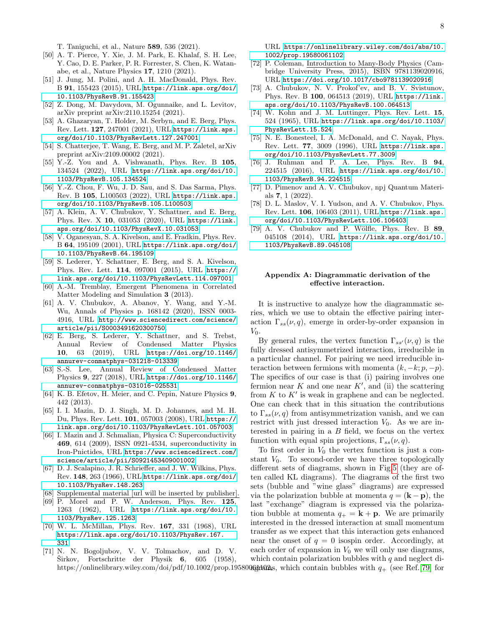T. Taniguchi, et al., Nature 589, 536 (2021).

- <span id="page-7-0"></span>[50] A. T. Pierce, Y. Xie, J. M. Park, E. Khalaf, S. H. Lee, Y. Cao, D. E. Parker, P. R. Forrester, S. Chen, K. Watanabe, et al., Nature Physics 17, 1210 (2021).
- <span id="page-7-1"></span>[51] J. Jung, M. Polini, and A. H. MacDonald, Phys. Rev. B 91, 155423 (2015), URL [https://link.aps.org/doi/](https://link.aps.org/doi/10.1103/PhysRevB.91.155423) [10.1103/PhysRevB.91.155423](https://link.aps.org/doi/10.1103/PhysRevB.91.155423).
- <span id="page-7-2"></span>[52] Z. Dong, M. Davydova, M. Ogunnaike, and L. Levitov, arXiv preprint arXiv:2110.15254 (2021).
- <span id="page-7-3"></span>[53] A. Ghazaryan, T. Holder, M. Serbyn, and E. Berg, Phys. Rev. Lett. 127, 247001 (2021), URL [https://link.aps.](https://link.aps.org/doi/10.1103/PhysRevLett.127.247001) [org/doi/10.1103/PhysRevLett.127.247001](https://link.aps.org/doi/10.1103/PhysRevLett.127.247001).
- [54] S. Chatterjee, T. Wang, E. Berg, and M. P. Zaletel, arXiv preprint arXiv:2109.00002 (2021).
- <span id="page-7-4"></span>[55] Y.-Z. You and A. Vishwanath, Phys. Rev. B 105, 134524 (2022), URL [https://link.aps.org/doi/10.](https://link.aps.org/doi/10.1103/PhysRevB.105.134524) [1103/PhysRevB.105.134524](https://link.aps.org/doi/10.1103/PhysRevB.105.134524).
- <span id="page-7-5"></span>[56] Y.-Z. Chou, F. Wu, J. D. Sau, and S. Das Sarma, Phys. Rev. B 105, L100503 (2022), URL [https://link.aps.](https://link.aps.org/doi/10.1103/PhysRevB.105.L100503) [org/doi/10.1103/PhysRevB.105.L100503](https://link.aps.org/doi/10.1103/PhysRevB.105.L100503).
- <span id="page-7-6"></span>[57] A. Klein, A. V. Chubukov, Y. Schattner, and E. Berg, Phys. Rev. X 10, 031053 (2020), URL [https://link.](https://link.aps.org/doi/10.1103/PhysRevX.10.031053) [aps.org/doi/10.1103/PhysRevX.10.031053](https://link.aps.org/doi/10.1103/PhysRevX.10.031053).
- [58] V. Oganesyan, S. A. Kivelson, and E. Fradkin, Phys. Rev. B 64, 195109 (2001), URL [https://link.aps.org/doi/](https://link.aps.org/doi/10.1103/PhysRevB.64.195109) [10.1103/PhysRevB.64.195109](https://link.aps.org/doi/10.1103/PhysRevB.64.195109).
- <span id="page-7-16"></span>[59] S. Lederer, Y. Schattner, E. Berg, and S. A. Kivelson, Phys. Rev. Lett. 114, 097001 (2015), URL [https://](https://link.aps.org/doi/10.1103/PhysRevLett.114.097001) [link.aps.org/doi/10.1103/PhysRevLett.114.097001](https://link.aps.org/doi/10.1103/PhysRevLett.114.097001).
- [60] A.-M. Tremblay, Emergent Phenomena in Correlated Matter Modeling and Simulation 3 (2013).
- [61] A. V. Chubukov, A. Abanov, Y. Wang, and Y.-M. Wu, Annals of Physics p. 168142 (2020), ISSN 0003- 4916, URL [http://www.sciencedirect.com/science/](http://www.sciencedirect.com/science/article/pii/S0003491620300750) [article/pii/S0003491620300750](http://www.sciencedirect.com/science/article/pii/S0003491620300750).
- [62] E. Berg, S. Lederer, Y. Schattner, and S. Trebst, Annual Review of Condensed Matter Physics 10, 63 (2019), URL [https://doi.org/10.1146/](https://doi.org/10.1146/annurev-conmatphys-031218-013339) [annurev-conmatphys-031218-013339](https://doi.org/10.1146/annurev-conmatphys-031218-013339).
- [63] S.-S. Lee, Annual Review of Condensed Matter Physics 9, 227 (2018), URL [https://doi.org/10.1146/](https://doi.org/10.1146/annurev-conmatphys-031016-025531) [annurev-conmatphys-031016-025531](https://doi.org/10.1146/annurev-conmatphys-031016-025531).
- <span id="page-7-7"></span>[64] K. B. Efetov, H. Meier, and C. Pepin, Nature Physics 9, 442 (2013).
- <span id="page-7-8"></span>[65] I. I. Mazin, D. J. Singh, M. D. Johannes, and M. H. Du, Phys. Rev. Lett. 101, 057003 (2008), URL [https://](https://link.aps.org/doi/10.1103/PhysRevLett.101.057003) [link.aps.org/doi/10.1103/PhysRevLett.101.057003](https://link.aps.org/doi/10.1103/PhysRevLett.101.057003).
- <span id="page-7-9"></span>[66] I. Mazin and J. Schmalian, Physica C: Superconductivity 469, 614 (2009), ISSN 0921-4534, superconductivity in Iron-Pnictides, URL [https://www.sciencedirect.com/](https://www.sciencedirect.com/science/article/pii/S0921453409001002) [science/article/pii/S0921453409001002](https://www.sciencedirect.com/science/article/pii/S0921453409001002).
- <span id="page-7-10"></span>[67] D. J. Scalapino, J. R. Schrieffer, and J. W. Wilkins, Phys. Rev. 148, 263 (1966), URL [https://link.aps.org/doi/](https://link.aps.org/doi/10.1103/PhysRev.148.263) [10.1103/PhysRev.148.263](https://link.aps.org/doi/10.1103/PhysRev.148.263).
- <span id="page-7-11"></span>[68] Supplemental material [url will be inserted by publisher].
- <span id="page-7-12"></span>[69] P. Morel and P. W. Anderson, Phys. Rev. 125, 1263 (1962), URL [https://link.aps.org/doi/10.](https://link.aps.org/doi/10.1103/PhysRev.125.1263) [1103/PhysRev.125.1263](https://link.aps.org/doi/10.1103/PhysRev.125.1263).
- [70] W. L. McMillan, Phys. Rev. 167, 331 (1968), URL [https://link.aps.org/doi/10.1103/PhysRev.167.](https://link.aps.org/doi/10.1103/PhysRev.167.331) [331](https://link.aps.org/doi/10.1103/PhysRev.167.331).
- [71] N. N. Bogoljubov, V. V. Tolmachov, and D. V.  $\text{Sirkov},$  Fortschritte der Physik 6, 605 (1958), https://onlinelibrary.wiley.com/doi/pdf/10.1002/prop.19580065th02, which contain bubbles with  $q_+$  (see Ref.[\[79\]](#page-7-21) for

URL [https://onlinelibrary.wiley.com/doi/abs/10.](https://onlinelibrary.wiley.com/doi/abs/10.1002/prop.19580061102) [1002/prop.19580061102](https://onlinelibrary.wiley.com/doi/abs/10.1002/prop.19580061102).

- <span id="page-7-17"></span>[72] P. Coleman, Introduction to Many-Body Physics (Cambridge University Press, 2015), ISBN 9781139020916, URL <https://doi.org/10.1017/cbo9781139020916>.
- <span id="page-7-13"></span>[73] A. Chubukov, N. V. Prokof'ev, and B. V. Svistunov, Phys. Rev. B 100, 064513 (2019), URL [https://link.](https://link.aps.org/doi/10.1103/PhysRevB.100.064513) [aps.org/doi/10.1103/PhysRevB.100.064513](https://link.aps.org/doi/10.1103/PhysRevB.100.064513).
- <span id="page-7-14"></span>[74] W. Kohn and J. M. Luttinger, Phys. Rev. Lett. 15, 524 (1965), URL [https://link.aps.org/doi/10.1103/](https://link.aps.org/doi/10.1103/PhysRevLett.15.524) [PhysRevLett.15.524](https://link.aps.org/doi/10.1103/PhysRevLett.15.524).
- <span id="page-7-15"></span>[75] N. E. Bonesteel, I. A. McDonald, and C. Nayak, Phys. Rev. Lett. 77, 3009 (1996), URL [https://link.aps.](https://link.aps.org/doi/10.1103/PhysRevLett.77.3009) [org/doi/10.1103/PhysRevLett.77.3009](https://link.aps.org/doi/10.1103/PhysRevLett.77.3009).
- <span id="page-7-18"></span>[76] J. Ruhman and P. A. Lee, Phys. Rev. B 94, 224515 (2016), URL [https://link.aps.org/doi/10.](https://link.aps.org/doi/10.1103/PhysRevB.94.224515) [1103/PhysRevB.94.224515](https://link.aps.org/doi/10.1103/PhysRevB.94.224515).
- <span id="page-7-19"></span>[77] D. Pimenov and A. V. Chubukov, npj Quantum Materials 7, 1 (2022).
- <span id="page-7-20"></span>[78] D. L. Maslov, V. I. Yudson, and A. V. Chubukov, Phys. Rev. Lett. 106, 106403 (2011), URL [https://link.aps.](https://link.aps.org/doi/10.1103/PhysRevLett.106.106403) [org/doi/10.1103/PhysRevLett.106.106403](https://link.aps.org/doi/10.1103/PhysRevLett.106.106403).
- <span id="page-7-21"></span>[79] A. V. Chubukov and P. Wölfle, Phys. Rev. B  $89$ , 045108 (2014), URL [https://link.aps.org/doi/10.](https://link.aps.org/doi/10.1103/PhysRevB.89.045108) [1103/PhysRevB.89.045108](https://link.aps.org/doi/10.1103/PhysRevB.89.045108).

### Appendix A: Diagrammatic derivation of the effective interaction.

It is instructive to analyze how the diagrammatic series, which we use to obtain the effective pairing interaction  $\Gamma_{ss}(\nu, q)$ , emerge in order-by-order expansion in  $V_0$ .

By general rules, the vertex function  $\Gamma_{ss'}(\nu, q)$  is the fully dressed antisymmetrized interaction, irreducible in a particular channel. For pairing we need irreducible interaction between fermions with momenta  $(k, -k; p, -p)$ . The specifics of our case is that (i) pairing involves one fermion near  $K$  and one near  $K'$ , and (ii) the scattering from  $K$  to  $K'$  is weak in graphene and can be neglected. One can check that in this situation the contributions to  $\Gamma_{ss}(\nu, q)$  from antisymmetrization vanish, and we can restrict with just dressed interaction  $V_0$ . As we are interested in pairing in a  $B$  field, we focus on the vertex function with equal spin projections,  $\Gamma_{ss}(\nu, q)$ .

To first order in  $V_0$  the vertex function is just a constant  $V_0$ . To second-order we have three topologically different sets of diagrams, shown in Fig[.5](#page-8-0) (they are often called KL diagrams). The diagrams of the first two sets (bubble and "wine glass" diagrams) are expressed via the polarization bubble at momenta  $q = (\mathbf{k} - \mathbf{p})$ , the last "exchange" diagram is expressed via the polarization bubble at momenta  $q_+ = \mathbf{k} + \mathbf{p}$ . We are primarily interested in the dressed interaction at small momentum transfer as we expect that this interaction gets enhanced near the onset of  $q = 0$  isospin order. Accordingly, at each order of expansion in  $V_0$  we will only use diagrams, which contain polarization bubbles with  $q$  and neglect di-